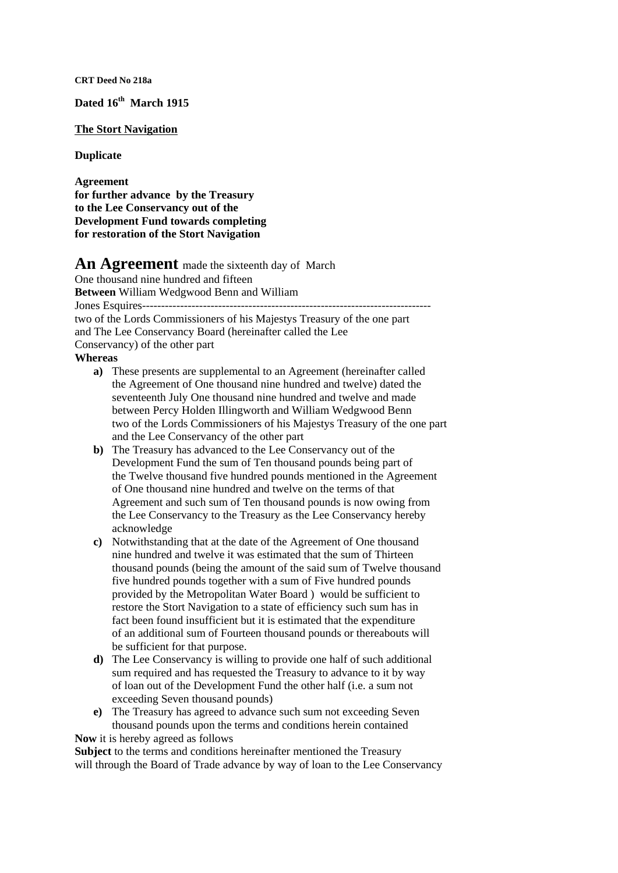**CRT Deed No 218a** 

**Dated 16th March 1915** 

## **The Stort Navigation**

**Duplicate** 

**Agreement for further advance by the Treasury to the Lee Conservancy out of the Development Fund towards completing for restoration of the Stort Navigation** 

## An Agreement made the sixteenth day of March

One thousand nine hundred and fifteen **Between** William Wedgwood Benn and William Jones Esquires--------------------------------------------------------------------------- two of the Lords Commissioners of his Majestys Treasury of the one part and The Lee Conservancy Board (hereinafter called the Lee Conservancy) of the other part

## **Whereas**

- **a)** These presents are supplemental to an Agreement (hereinafter called the Agreement of One thousand nine hundred and twelve) dated the seventeenth July One thousand nine hundred and twelve and made between Percy Holden Illingworth and William Wedgwood Benn two of the Lords Commissioners of his Majestys Treasury of the one part and the Lee Conservancy of the other part
- **b)** The Treasury has advanced to the Lee Conservancy out of the Development Fund the sum of Ten thousand pounds being part of the Twelve thousand five hundred pounds mentioned in the Agreement of One thousand nine hundred and twelve on the terms of that Agreement and such sum of Ten thousand pounds is now owing from the Lee Conservancy to the Treasury as the Lee Conservancy hereby acknowledge
- **c)** Notwithstanding that at the date of the Agreement of One thousand nine hundred and twelve it was estimated that the sum of Thirteen thousand pounds (being the amount of the said sum of Twelve thousand five hundred pounds together with a sum of Five hundred pounds provided by the Metropolitan Water Board ) would be sufficient to restore the Stort Navigation to a state of efficiency such sum has in fact been found insufficient but it is estimated that the expenditure of an additional sum of Fourteen thousand pounds or thereabouts will be sufficient for that purpose.
- **d)** The Lee Conservancy is willing to provide one half of such additional sum required and has requested the Treasury to advance to it by way of loan out of the Development Fund the other half (i.e. a sum not exceeding Seven thousand pounds)
- **e)** The Treasury has agreed to advance such sum not exceeding Seven thousand pounds upon the terms and conditions herein contained **Now** it is hereby agreed as follows

**Subject** to the terms and conditions hereinafter mentioned the Treasury will through the Board of Trade advance by way of loan to the Lee Conservancy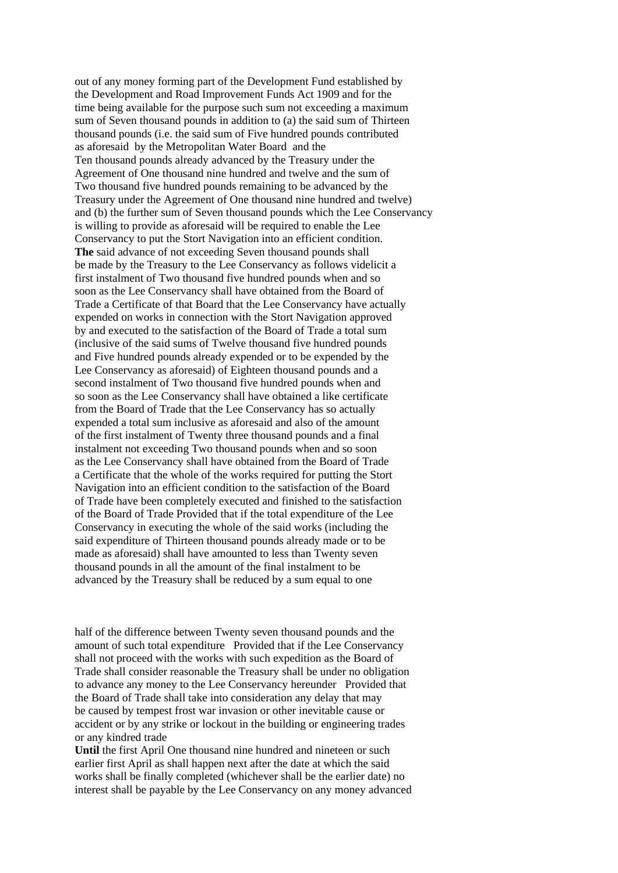out of any money forming part of the Development Fund established by the Development and Road Improvement Funds Act 1909 and for the time being available for the purpose such sum not exceeding a maximum sum of Seven thousand pounds in addition to (a) the said sum of Thirteen thousand pounds (i.e. the said sum of Five hundred pounds contributed as aforesaid by the Metropolitan Water Board and the Ten thousand pounds already advanced by the Treasury under the Agreement of One thousand nine hundred and twelve and the sum of Two thousand five hundred pounds remaining to be advanced by the Treasury under the Agreement of One thousand nine hundred and twelve) and (b) the further sum of Seven thousand pounds which the Lee Conservancy is willing to provide as aforesaid will be required to enable the Lee Conservancy to put the Stort Navigation into an efficient condition. **The** said advance of not exceeding Seven thousand pounds shall be made by the Treasury to the Lee Conservancy as follows videlicit a first instalment of Two thousand five hundred pounds when and so soon as the Lee Conservancy shall have obtained from the Board of Trade a Certificate of that Board that the Lee Conservancy have actually expended on works in connection with the Stort Navigation approved by and executed to the satisfaction of the Board of Trade a total sum (inclusive of the said sums of Twelve thousand five hundred pounds and Five hundred pounds already expended or to be expended by the Lee Conservancy as aforesaid) of Eighteen thousand pounds and a second instalment of Two thousand five hundred pounds when and so soon as the Lee Conservancy shall have obtained a like certificate from the Board of Trade that the Lee Conservancy has so actually expended a total sum inclusive as aforesaid and also of the amount of the first instalment of Twenty three thousand pounds and a final instalment not exceeding Two thousand pounds when and so soon as the Lee Conservancy shall have obtained from the Board of Trade a Certificate that the whole of the works required for putting the Stort Navigation into an efficient condition to the satisfaction of the Board of Trade have been completely executed and finished to the satisfaction of the Board of Trade Provided that if the total expenditure of the Lee Conservancy in executing the whole of the said works (including the said expenditure of Thirteen thousand pounds already made or to be made as aforesaid) shall have amounted to less than Twenty seven thousand pounds in all the amount of the final instalment to be advanced by the Treasury shall be reduced by a sum equal to one

half of the difference between Twenty seven thousand pounds and the amount of such total expenditure Provided that if the Lee Conservancy shall not proceed with the works with such expedition as the Board of Trade shall consider reasonable the Treasury shall be under no obligation to advance any money to the Lee Conservancy hereunder Provided that the Board of Trade shall take into consideration any delay that may be caused by tempest frost war invasion or other inevitable cause or accident or by any strike or lockout in the building or engineering trades or any kindred trade

Until the first April One thousand nine hundred and nineteen or such earlier first April as shall happen next after the date at which the said works shall be finally completed (whichever shall be the earlier date) no interest shall be payable by the Lee Conservancy on any money advanced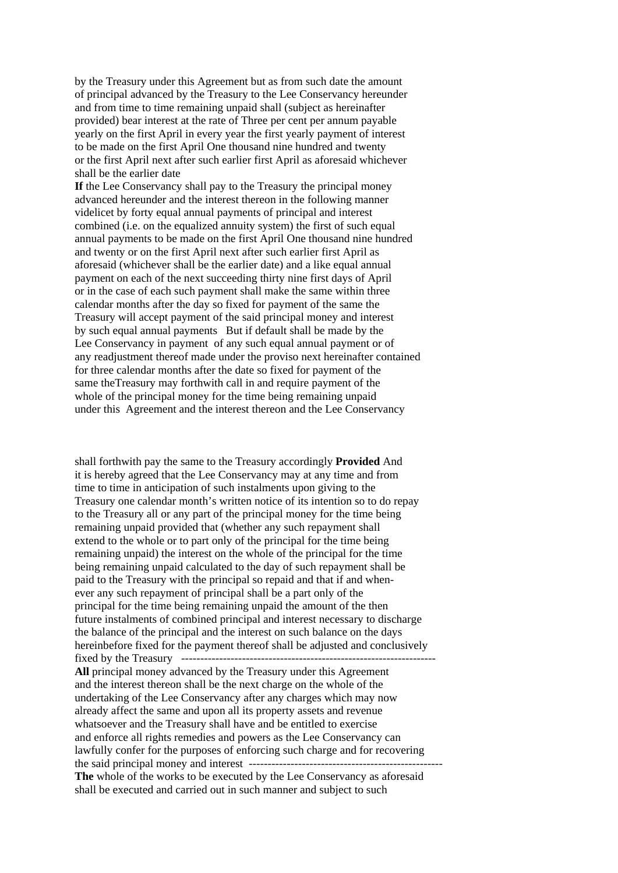by the Treasury under this Agreement but as from such date the amount of principal advanced by the Treasury to the Lee Conservancy hereunder and from time to time remaining unpaid shall (subject as hereinafter provided) bear interest at the rate of Three per cent per annum payable yearly on the first April in every year the first yearly payment of interest to be made on the first April One thousand nine hundred and twenty or the first April next after such earlier first April as aforesaid whichever shall be the earlier date

**If** the Lee Conservancy shall pay to the Treasury the principal money advanced hereunder and the interest thereon in the following manner videlicet by forty equal annual payments of principal and interest combined (i.e. on the equalized annuity system) the first of such equal annual payments to be made on the first April One thousand nine hundred and twenty or on the first April next after such earlier first April as aforesaid (whichever shall be the earlier date) and a like equal annual payment on each of the next succeeding thirty nine first days of April or in the case of each such payment shall make the same within three calendar months after the day so fixed for payment of the same the Treasury will accept payment of the said principal money and interest by such equal annual payments But if default shall be made by the Lee Conservancy in payment of any such equal annual payment or of any readjustment thereof made under the proviso next hereinafter contained for three calendar months after the date so fixed for payment of the same theTreasury may forthwith call in and require payment of the whole of the principal money for the time being remaining unpaid under this Agreement and the interest thereon and the Lee Conservancy

shall forthwith pay the same to the Treasury accordingly **Provided** And it is hereby agreed that the Lee Conservancy may at any time and from time to time in anticipation of such instalments upon giving to the Treasury one calendar month's written notice of its intention so to do repay to the Treasury all or any part of the principal money for the time being remaining unpaid provided that (whether any such repayment shall extend to the whole or to part only of the principal for the time being remaining unpaid) the interest on the whole of the principal for the time being remaining unpaid calculated to the day of such repayment shall be paid to the Treasury with the principal so repaid and that if and whenever any such repayment of principal shall be a part only of the principal for the time being remaining unpaid the amount of the then future instalments of combined principal and interest necessary to discharge the balance of the principal and the interest on such balance on the days hereinbefore fixed for the payment thereof shall be adjusted and conclusively fixed by the Treasury ------------------------------------------------------------------- **All** principal money advanced by the Treasury under this Agreement and the interest thereon shall be the next charge on the whole of the undertaking of the Lee Conservancy after any charges which may now already affect the same and upon all its property assets and revenue whatsoever and the Treasury shall have and be entitled to exercise and enforce all rights remedies and powers as the Lee Conservancy can lawfully confer for the purposes of enforcing such charge and for recovering the said principal money and interest --------------------------------------------------- **The** whole of the works to be executed by the Lee Conservancy as aforesaid shall be executed and carried out in such manner and subject to such